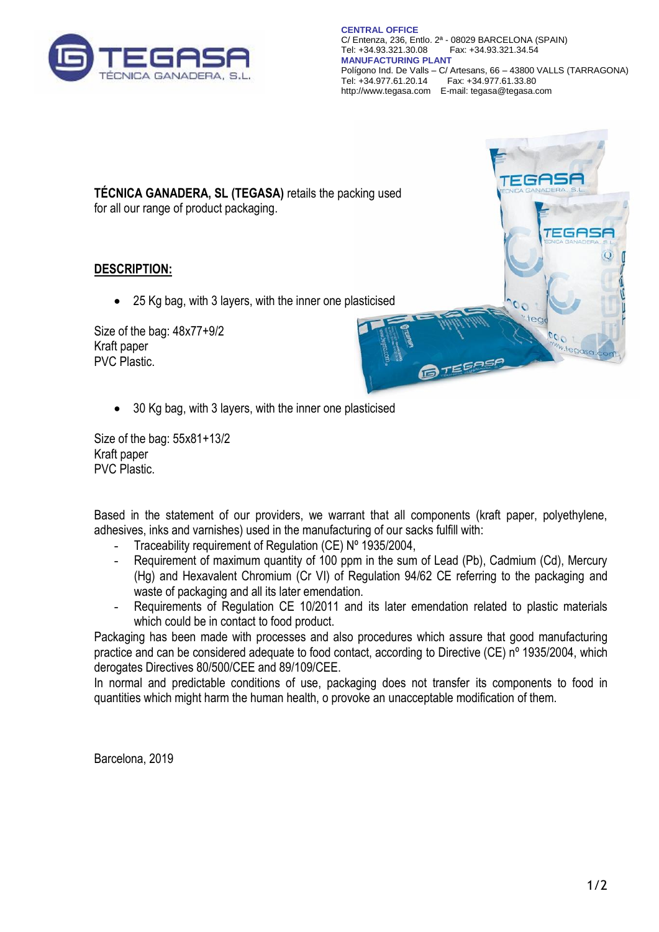

**CENTRAL OFFICE** C/ Entenza, 236, Entlo. 2ª - 08029 BARCELONA (SPAIN) Fax: +34.93.321.34.54 **MANUFACTURING PLANT** Polígono Ind. De Valls – C/ Artesans, 66 – 43800 VALLS (TARRAGONA) Fax: +34.977.61.33.80 http://www.tegasa.com E-mail: tegasa@tegasa.com

**TEGAS** 

:GAS

**TÉCNICA GANADERA, SL (TEGASA)** retails the packing used for all our range of product packaging.

**DESCRIPTION:**

• 25 Kg bag, with 3 layers, with the inner one plasticised

Size of the bag: 48x77+9/2 Kraft paper PVC Plastic.

• 30 Kg bag, with 3 layers, with the inner one plasticised

Size of the bag: 55x81+13/2 Kraft paper PVC Plastic.

Based in the statement of our providers, we warrant that all components (kraft paper, polyethylene, adhesives, inks and varnishes) used in the manufacturing of our sacks fulfill with:

- Traceability requirement of Regulation (CE) Nº 1935/2004,
- Requirement of maximum quantity of 100 ppm in the sum of Lead (Pb), Cadmium (Cd), Mercury (Hg) and Hexavalent Chromium (Cr VI) of Regulation 94/62 CE referring to the packaging and waste of packaging and all its later emendation.
- Requirements of Regulation CE 10/2011 and its later emendation related to plastic materials which could be in contact to food product.

Packaging has been made with processes and also procedures which assure that good manufacturing practice and can be considered adequate to food contact, according to Directive (CE) nº 1935/2004, which derogates Directives 80/500/CEE and 89/109/CEE.

In normal and predictable conditions of use, packaging does not transfer its components to food in quantities which might harm the human health, o provoke an unacceptable modification of them.

Barcelona, 2019